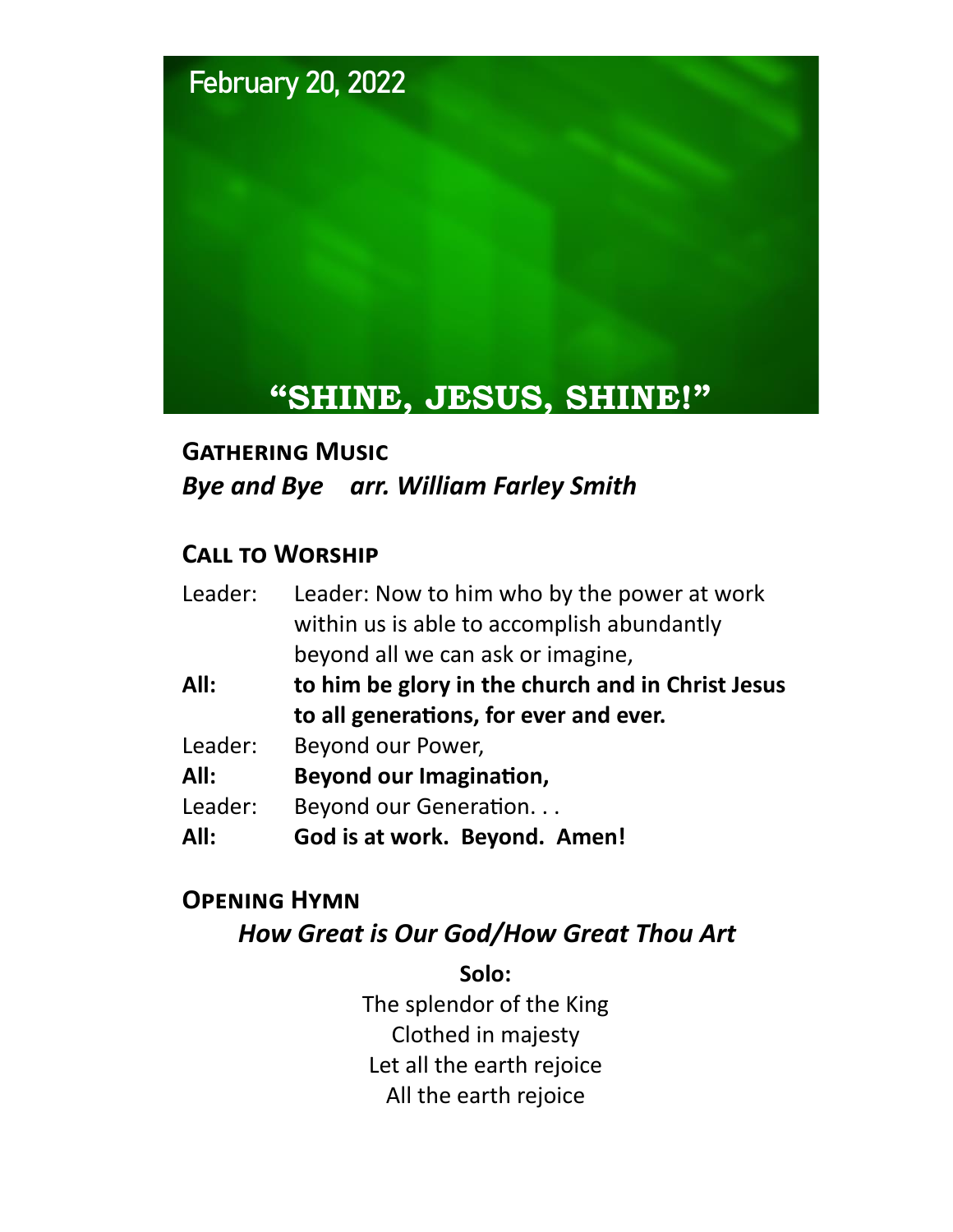# **February 20, 2022 "SHINE, JESUS, SHINE!"**

# **Gathering Music**  *Bye and Bye arr. William Farley Smith*

# **Call to Worship**

|      | within us is able to accomplish abundantly<br>beyond all we can ask or imagine, |
|------|---------------------------------------------------------------------------------|
| All: | to him be glory in the church and in Christ Jesus                               |

**to all generations, for ever and ever.**

- Leader: Beyond our Power,
- **All: Beyond our Imagination,**
- Leader: Beyond our Generation...
- **All: God is at work. Beyond. Amen!**

# **Opening Hymn**

*How Great is Our God/How Great Thou Art*

**Solo:**  The splendor of the King Clothed in majesty Let all the earth rejoice All the earth rejoice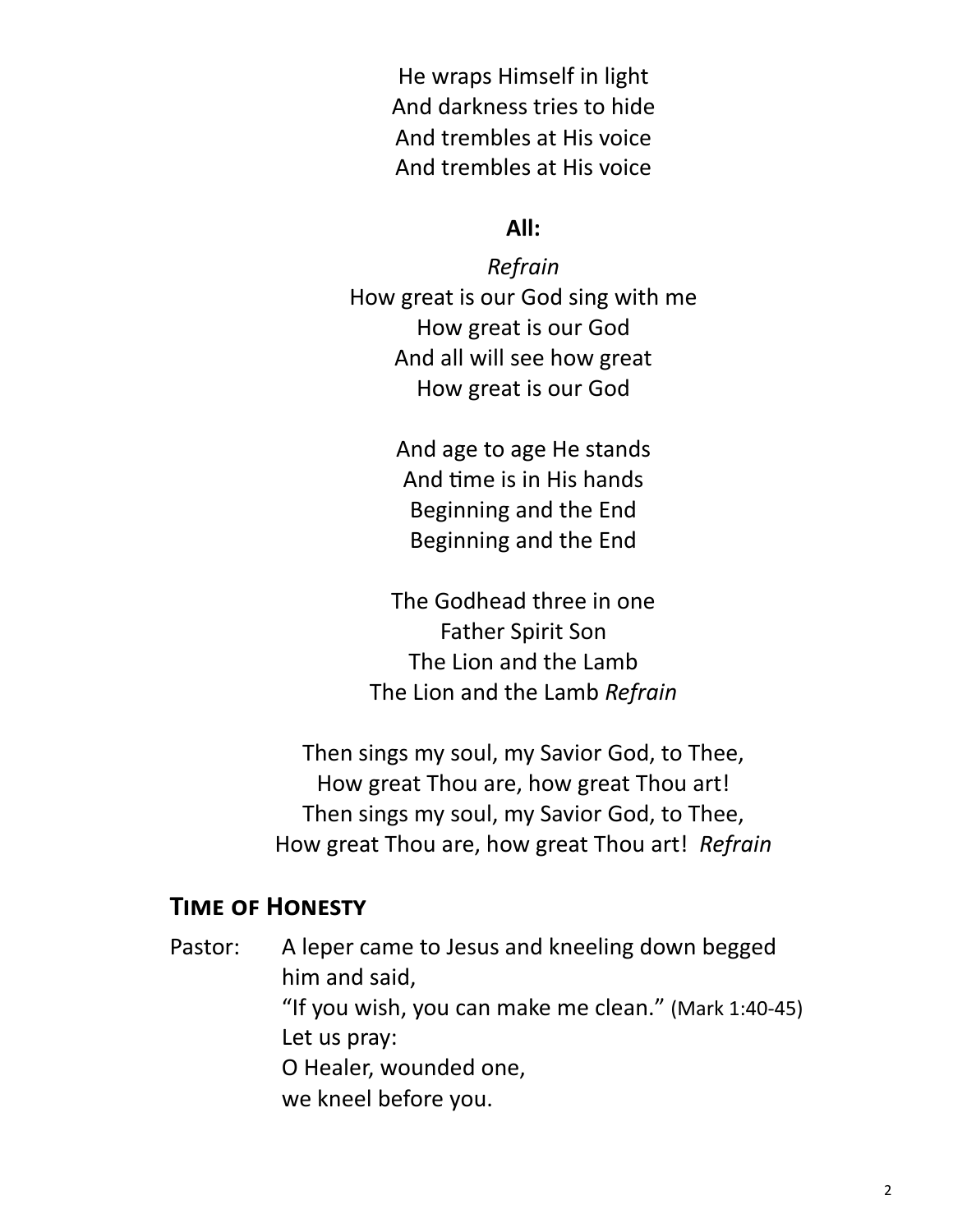He wraps Himself in light And darkness tries to hide And trembles at His voice And trembles at His voice

#### **All:**

*Refrain* How great is our God sing with me How great is our God And all will see how great How great is our God

> And age to age He stands And time is in His hands Beginning and the End Beginning and the End

The Godhead three in one Father Spirit Son The Lion and the Lamb The Lion and the Lamb *Refrain*

Then sings my soul, my Savior God, to Thee, How great Thou are, how great Thou art! Then sings my soul, my Savior God, to Thee, How great Thou are, how great Thou art! *Refrain*

## **Time of Honesty**

Pastor: A leper came to Jesus and kneeling down begged him and said, "If you wish, you can make me clean." (Mark 1:40-45) Let us pray: O Healer, wounded one, we kneel before you.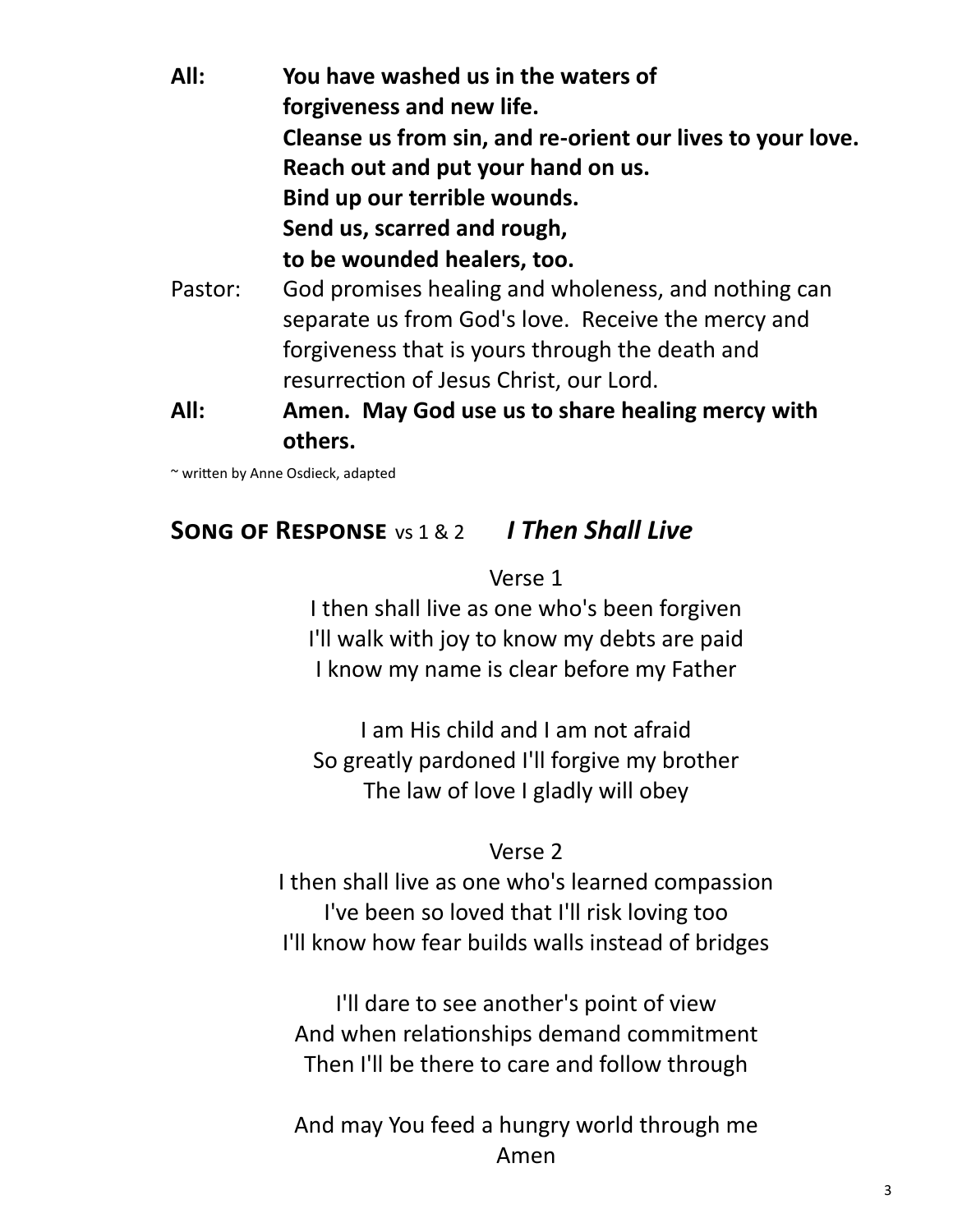| All:    | You have washed us in the waters of                        |
|---------|------------------------------------------------------------|
|         | forgiveness and new life.                                  |
|         | Cleanse us from sin, and re-orient our lives to your love. |
|         | Reach out and put your hand on us.                         |
|         | Bind up our terrible wounds.                               |
|         | Send us, scarred and rough,                                |
|         | to be wounded healers, too.                                |
| Pastor: | God promises healing and wholeness, and nothing can        |
|         | separate us from God's love. Receive the mercy and         |
|         | forgiveness that is yours through the death and            |
|         | resurrection of Jesus Christ, our Lord.                    |
| All:    | Amen. May God use us to share healing mercy with           |

**others.**

~ written by Anne Osdieck, adapted

## **Song of Response** vs 1 & 2 *I Then Shall Live*

Verse 1

I then shall live as one who's been forgiven I'll walk with joy to know my debts are paid I know my name is clear before my Father

I am His child and I am not afraid So greatly pardoned I'll forgive my brother The law of love I gladly will obey

Verse 2

I then shall live as one who's learned compassion I've been so loved that I'll risk loving too I'll know how fear builds walls instead of bridges

I'll dare to see another's point of view And when relationships demand commitment Then I'll be there to care and follow through

And may You feed a hungry world through me Amen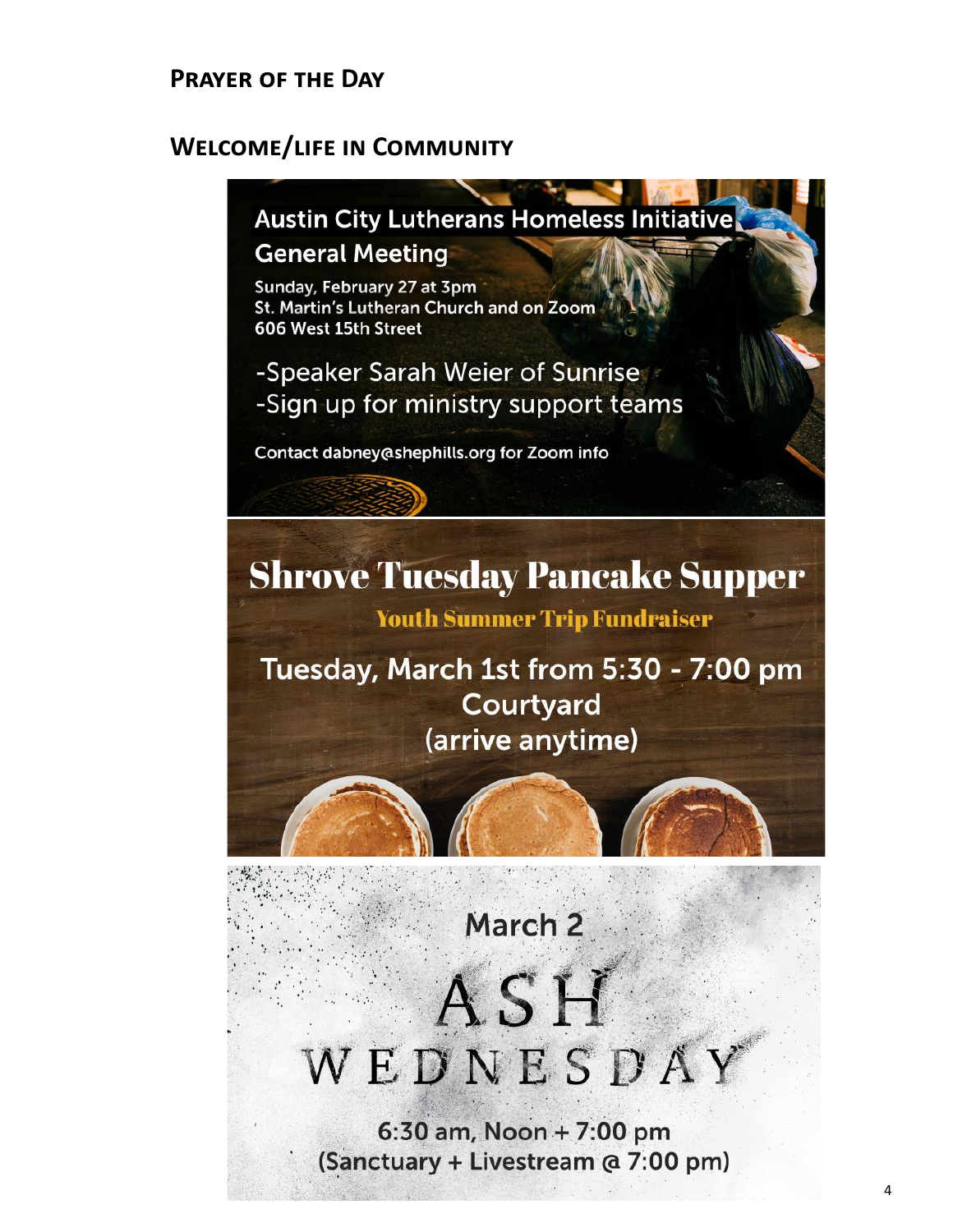#### **Prayer of the Day**

#### **Welcome/life in Community**

**Austin City Lutherans Homeless Initiative** 

#### **General Meeting**

Sunday, February 27 at 3pm St. Martin's Lutheran Church and on Zoom 606 West 15th Street

-Speaker Sarah Weier of Sunrise -Sign up for ministry support teams

Contact dabney@shephills.org for Zoom info

# **Shrove Tuesday Pancake Supper**

**Youth Summer Trip Fundraiser** 

Tuesday, March 1st from 5:30 - 7:00 pm Courtyard (arrive anytime)



March<sub>2</sub>



6:30 am, Noon + 7:00 pm (Sanctuary + Livestream @ 7:00 pm)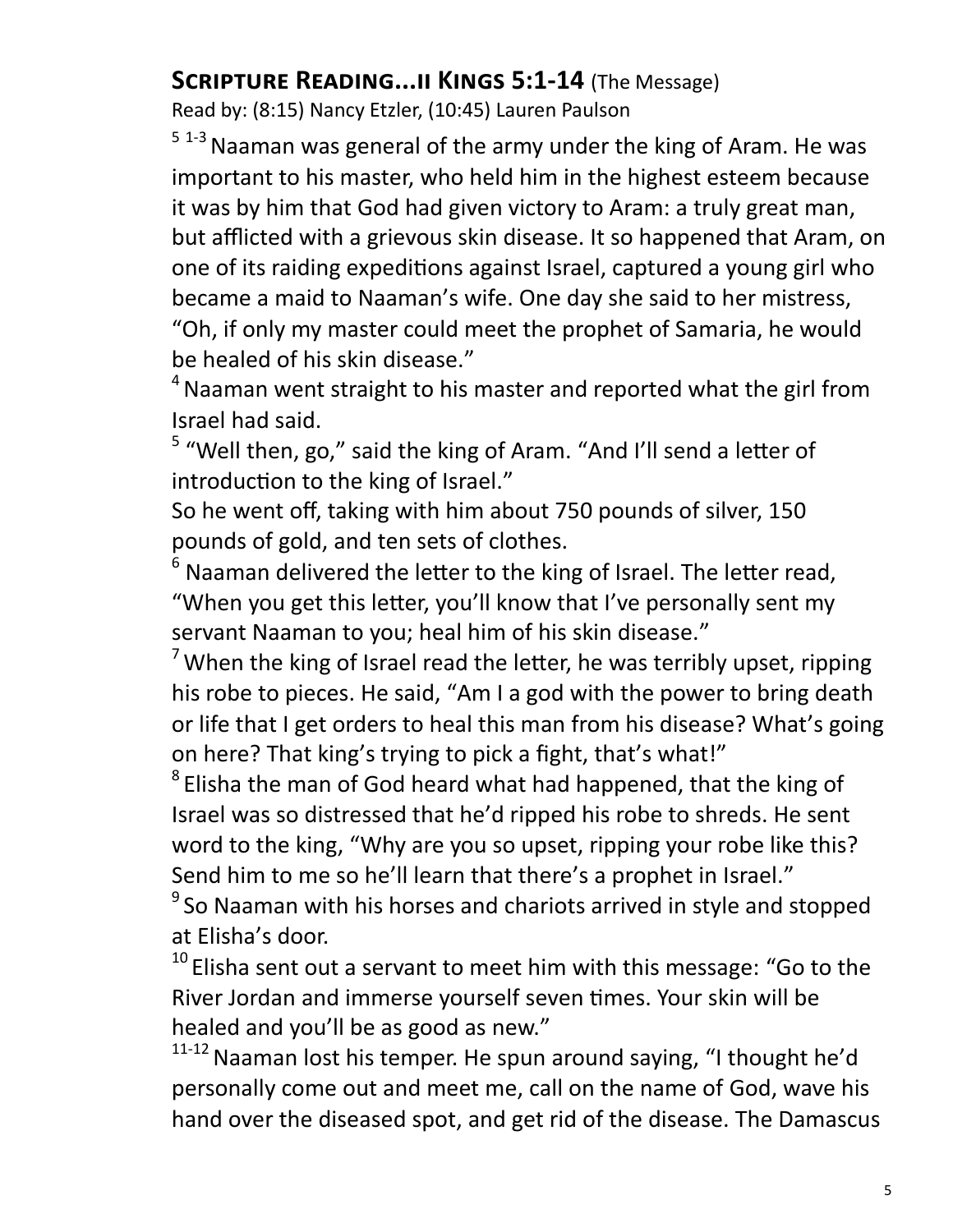# **Scripture Reading...ii Kings 5:1-14** (The Message)

Read by: (8:15) Nancy Etzler, (10:45) Lauren Paulson

 $51-3$  Naaman was general of the army under the king of Aram. He was important to his master, who held him in the highest esteem because it was by him that God had given victory to Aram: a truly great man, but afflicted with a grievous skin disease. It so happened that Aram, on one of its raiding expeditions against Israel, captured a young girl who became a maid to Naaman's wife. One day she said to her mistress, "Oh, if only my master could meet the prophet of Samaria, he would be healed of his skin disease."

 $4$  Naaman went straight to his master and reported what the girl from Israel had said.

<sup>5</sup> "Well then, go," said the king of Aram. "And I'll send a letter of introduction to the king of Israel."

So he went off, taking with him about 750 pounds of silver, 150 pounds of gold, and ten sets of clothes.

 $6$  Naaman delivered the letter to the king of Israel. The letter read, "When you get this letter, you'll know that I've personally sent my servant Naaman to you; heal him of his skin disease."

 $7$  When the king of Israel read the letter, he was terribly upset, ripping his robe to pieces. He said, "Am I a god with the power to bring death or life that I get orders to heal this man from his disease? What's going on here? That king's trying to pick a fight, that's what!"

 $^8$  Elisha the man of God heard what had happened, that the king of Israel was so distressed that he'd ripped his robe to shreds. He sent word to the king, "Why are you so upset, ripping your robe like this? Send him to me so he'll learn that there's a prophet in Israel."

 $9$  So Naaman with his horses and chariots arrived in style and stopped at Elisha's door.

 $10$  Elisha sent out a servant to meet him with this message: "Go to the River Jordan and immerse yourself seven times. Your skin will be healed and you'll be as good as new."

 $11-12$  Naaman lost his temper. He spun around saying, "I thought he'd personally come out and meet me, call on the name of God, wave his hand over the diseased spot, and get rid of the disease. The Damascus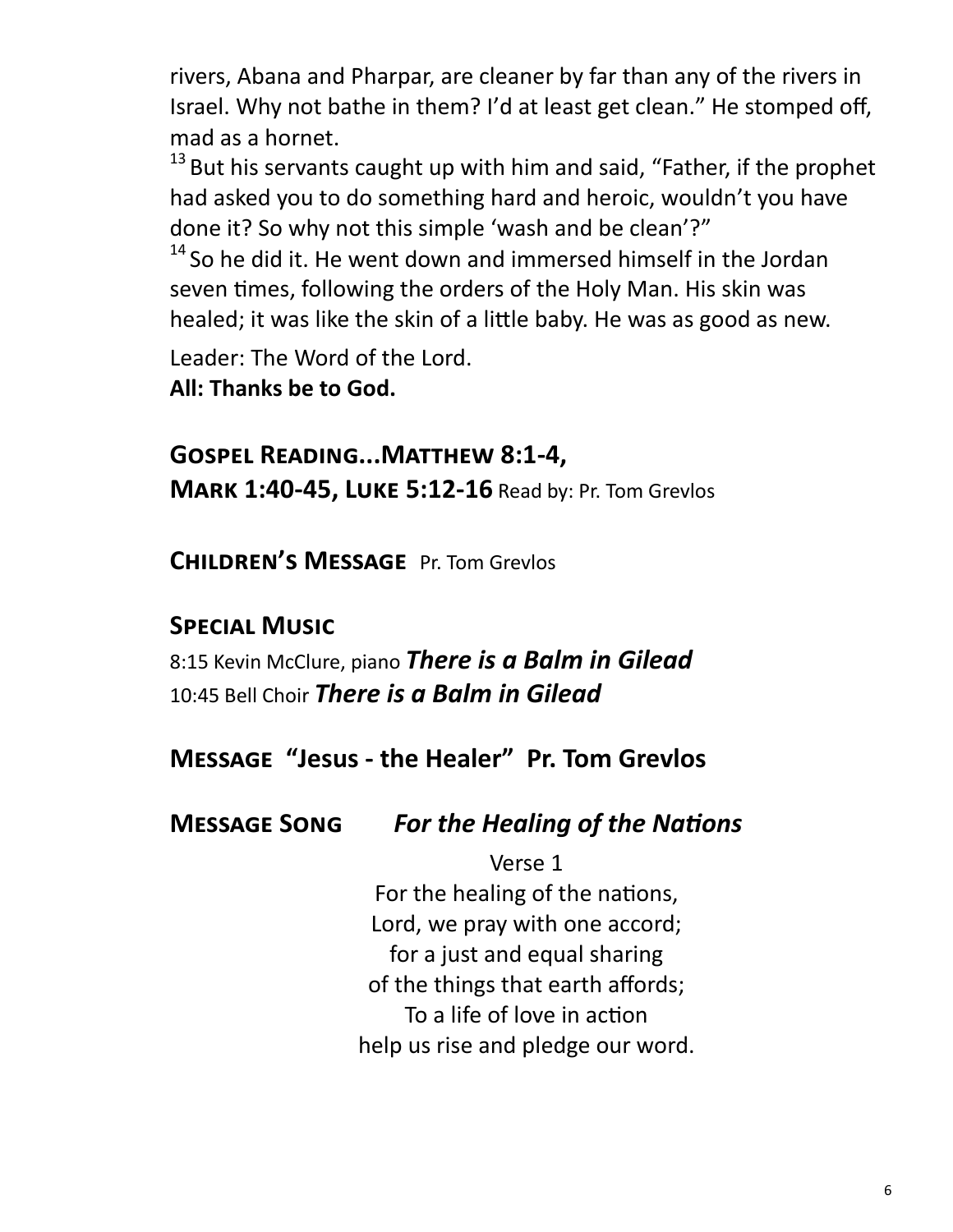rivers, Abana and Pharpar, are cleaner by far than any of the rivers in Israel. Why not bathe in them? I'd at least get clean." He stomped off, mad as a hornet.

<sup>13</sup> But his servants caught up with him and said, "Father, if the prophet had asked you to do something hard and heroic, wouldn't you have done it? So why not this simple 'wash and be clean'?"

 $14$  So he did it. He went down and immersed himself in the Jordan seven times, following the orders of the Holy Man. His skin was healed; it was like the skin of a little baby. He was as good as new.

Leader: The Word of the Lord.

**All: Thanks be to God.**

# **Gospel Reading...Matthew 8:1-4, Mark 1:40-45, Luke 5:12-16** Read by: Pr. Tom Grevlos

**Children's Message** Pr. Tom Grevlos

# **Special Music**

8:15 Kevin McClure, piano *There is a Balm in Gilead* 10:45 Bell Choir *There is a Balm in Gilead*

**Message "Jesus - the Healer" Pr. Tom Grevlos**

# **Message Song** *For the Healing of the Nations*

Verse 1

For the healing of the nations, Lord, we pray with one accord; for a just and equal sharing of the things that earth affords; To a life of love in action help us rise and pledge our word.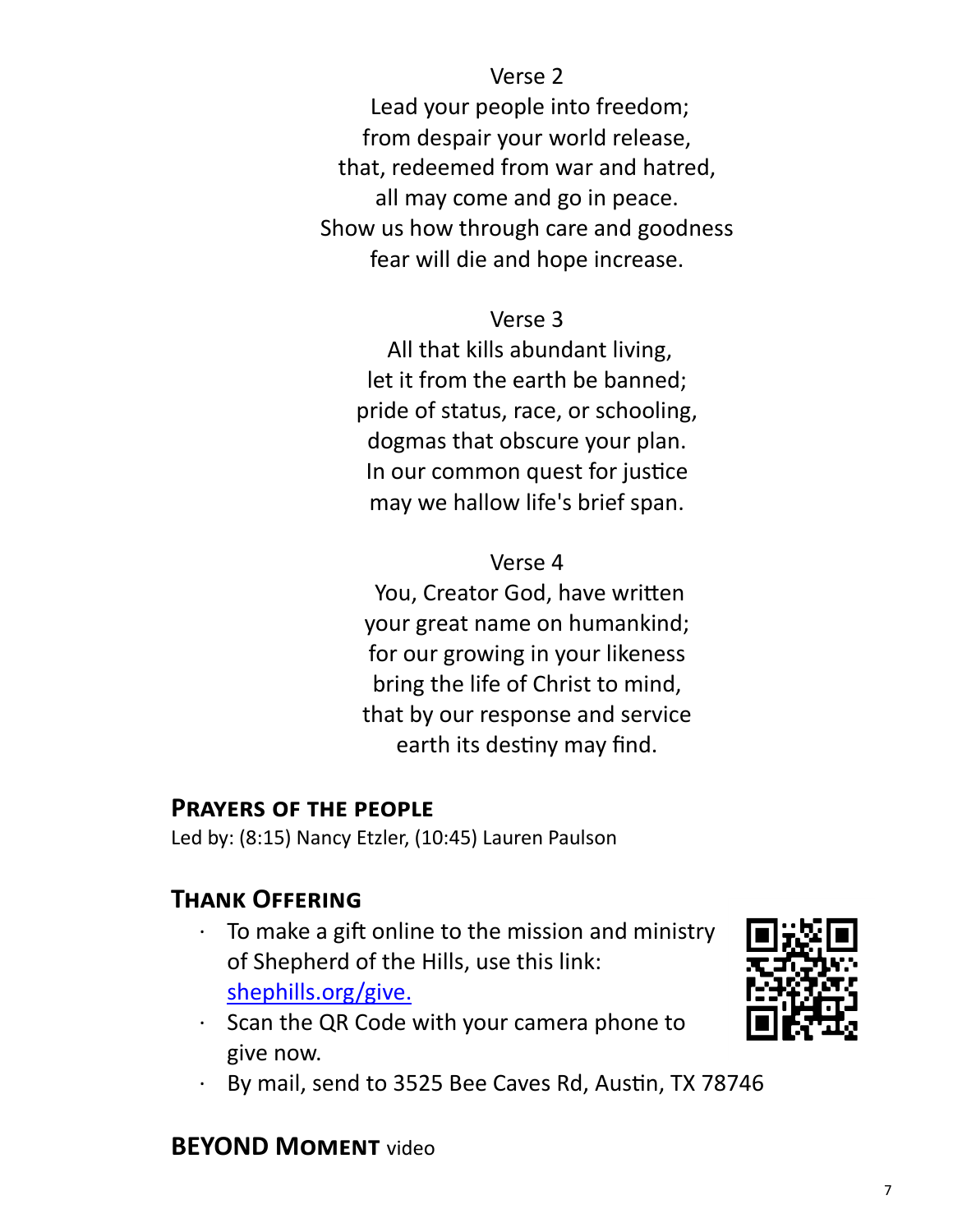#### Verse 2

Lead your people into freedom; from despair your world release, that, redeemed from war and hatred, all may come and go in peace. Show us how through care and goodness fear will die and hope increase.

#### Verse 3

All that kills abundant living, let it from the earth be banned; pride of status, race, or schooling, dogmas that obscure your plan. In our common quest for justice may we hallow life's brief span.

#### Verse 4

You, Creator God, have written your great name on humankind; for our growing in your likeness bring the life of Christ to mind, that by our response and service earth its destiny may find.

## **Prayers of the people**

Led by: (8:15) Nancy Etzler, (10:45) Lauren Paulson

# **Thank Offering**

- $\cdot$  To make a gift online to the mission and ministry of Shepherd of the Hills, use this link: [shephills.org/give.](https://shephills.org/give/)
- · Scan the QR Code with your camera phone to give now.
- · By mail, send to 3525 Bee Caves Rd, Austin, TX 78746

## **BEYOND Moment** video

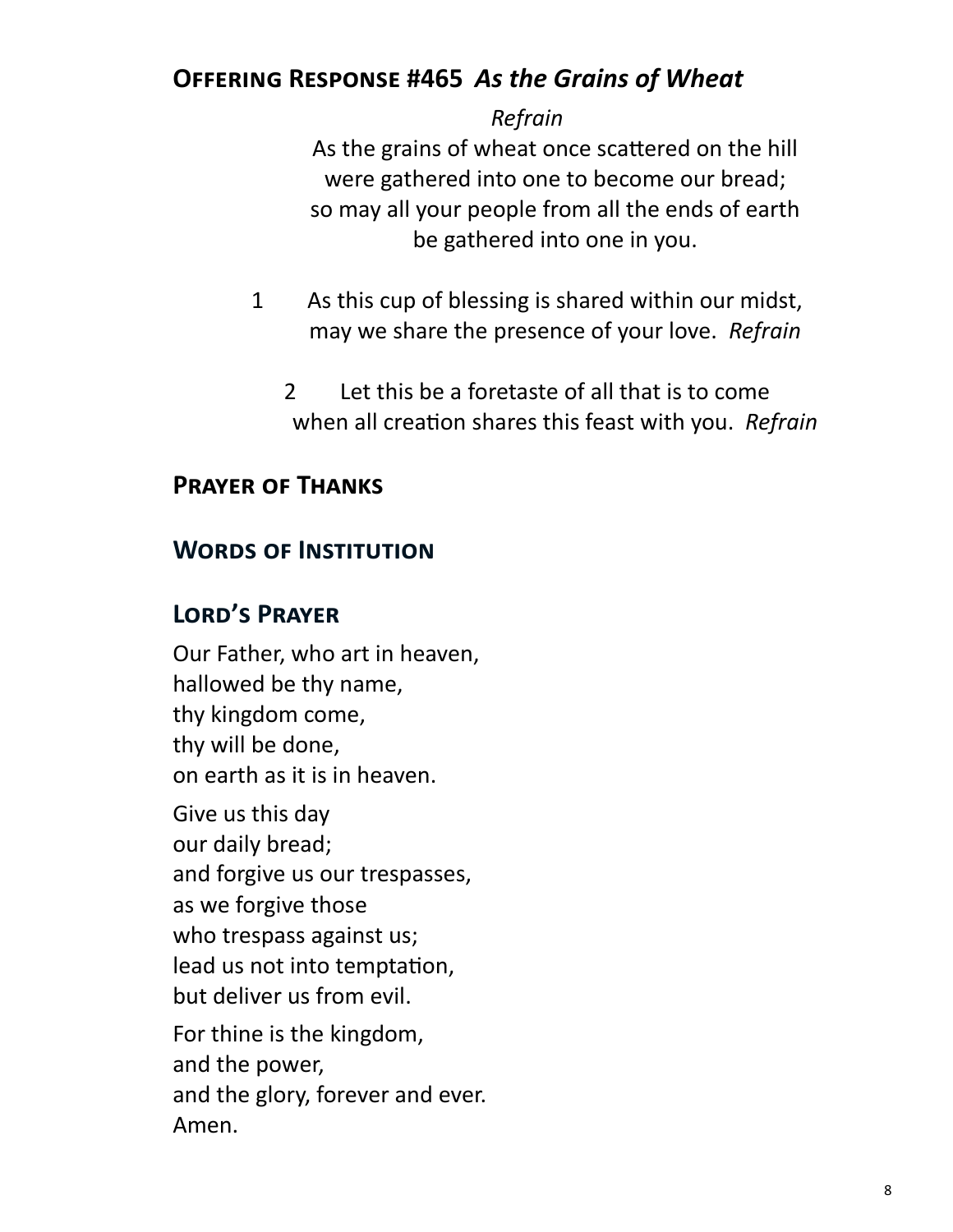# **Offering Response #465** *As the Grains of Wheat*

*Refrain*

As the grains of wheat once scattered on the hill were gathered into one to become our bread; so may all your people from all the ends of earth be gathered into one in you.

- 1 As this cup of blessing is shared within our midst, may we share the presence of your love. *Refrain* 
	- 2 Let this be a foretaste of all that is to come when all creation shares this feast with you. *Refrain*

# **Prayer of Thanks**

# **Words of Institution**

# **Lord's Prayer**

Our Father, who art in heaven, hallowed be thy name, thy kingdom come, thy will be done, on earth as it is in heaven. Give us this day our daily bread; and forgive us our trespasses, as we forgive those who trespass against us; lead us not into temptation, but deliver us from evil. For thine is the kingdom, and the power, and the glory, forever and ever. Amen.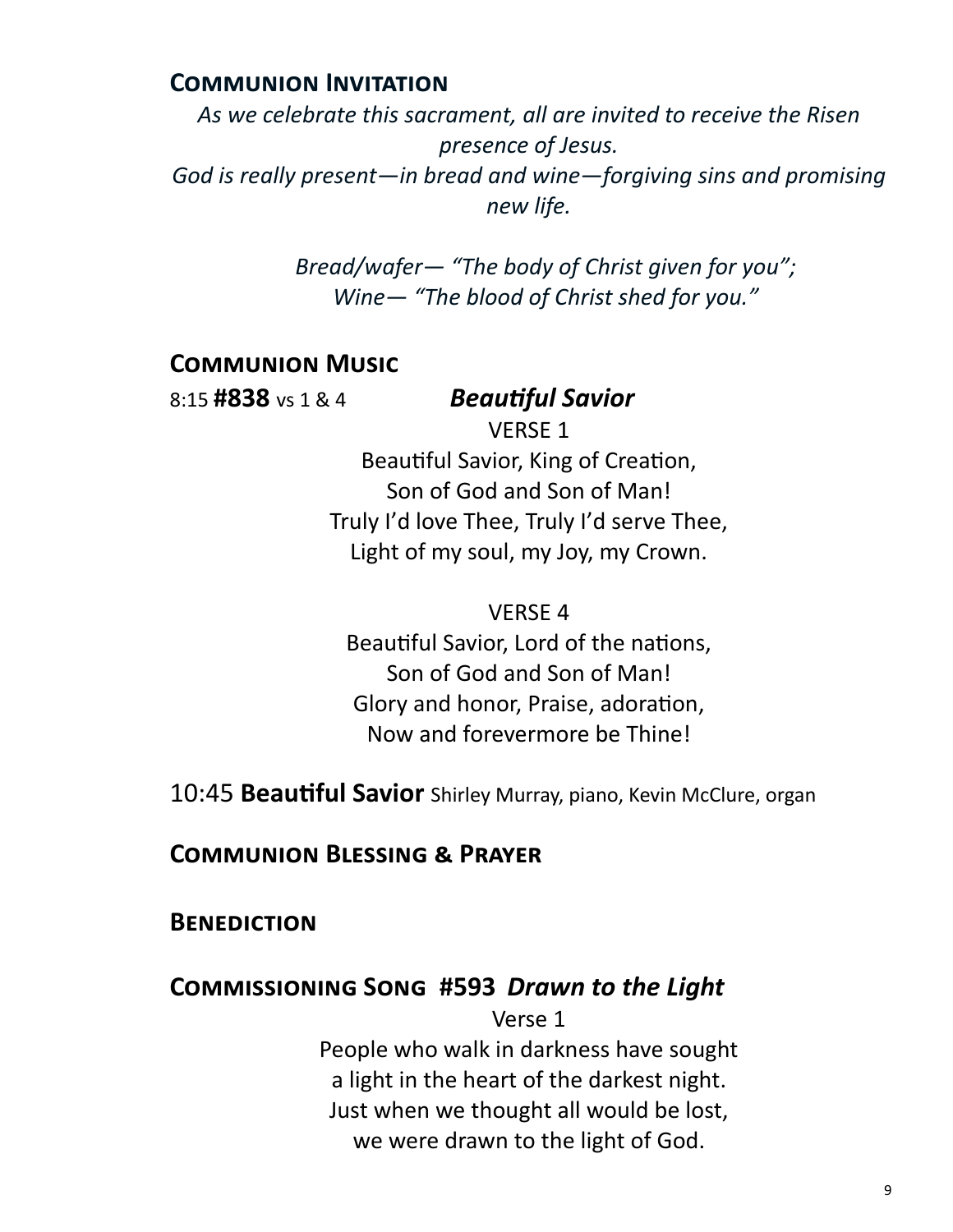#### **Communion Invitation**

*As we celebrate this sacrament, all are invited to receive the Risen presence of Jesus. God is really present—in bread and wine—forgiving sins and promising new life.* 

> *Bread/wafer— "The body of Christ given for you"; Wine— "The blood of Christ shed for you."*

#### **Communion Music**

#### 8:15 **#838** vs 1 & 4 *Beautiful Savior*

VERSE 1 Beautiful Savior, King of Creation, Son of God and Son of Man! Truly I'd love Thee, Truly I'd serve Thee, Light of my soul, my Joy, my Crown.

VERSE 4 Beautiful Savior, Lord of the nations, Son of God and Son of Man! Glory and honor, Praise, adoration, Now and forevermore be Thine!

10:45 **Beautiful Savior** Shirley Murray, piano, Kevin McClure, organ

#### **Communion Blessing & Prayer**

#### **Benediction**

#### **Commissioning Song #593** *Drawn to the Light*

Verse 1

People who walk in darkness have sought a light in the heart of the darkest night. Just when we thought all would be lost, we were drawn to the light of God.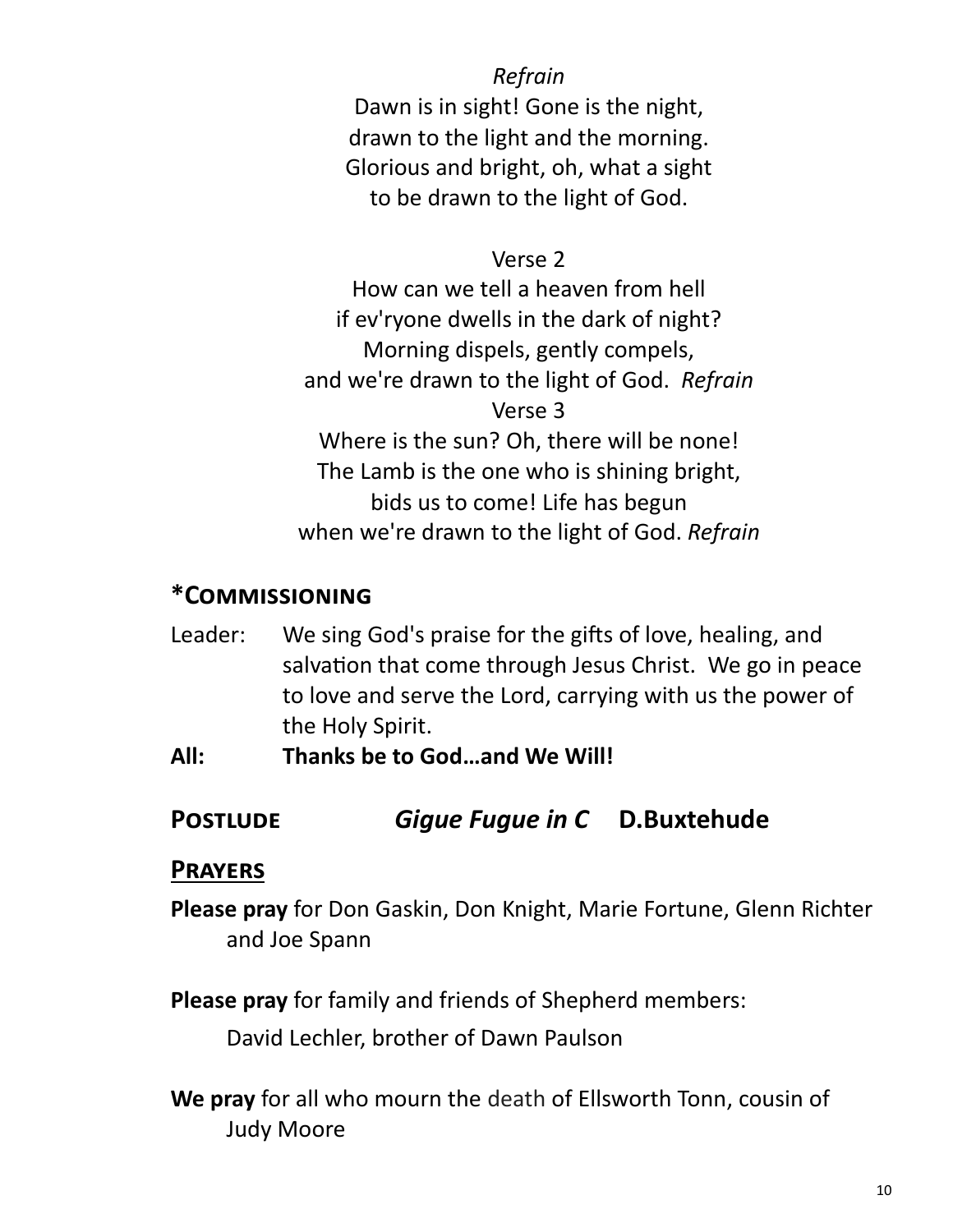## *Refrain*

Dawn is in sight! Gone is the night, drawn to the light and the morning. Glorious and bright, oh, what a sight to be drawn to the light of God.

#### Verse 2

How can we tell a heaven from hell if ev'ryone dwells in the dark of night? Morning dispels, gently compels, and we're drawn to the light of God. *Refrain* Verse 3 Where is the sun? Oh, there will be none! The Lamb is the one who is shining bright, bids us to come! Life has begun when we're drawn to the light of God. *Refrain*

# **\*Commissioning**

- Leader: We sing God's praise for the gifts of love, healing, and salvation that come through Jesus Christ. We go in peace to love and serve the Lord, carrying with us the power of the Holy Spirit.
- **All: Thanks be to God…and We Will!**

# **Postlude** *Gigue Fugue in C* **D.Buxtehude**

# **Prayers**

**Please pray** for Don Gaskin, Don Knight, Marie Fortune, Glenn Richter and Joe Spann

**Please pray** for family and friends of Shepherd members:

David Lechler, brother of Dawn Paulson

**We pray** for all who mourn the death of Ellsworth Tonn, cousin of Judy Moore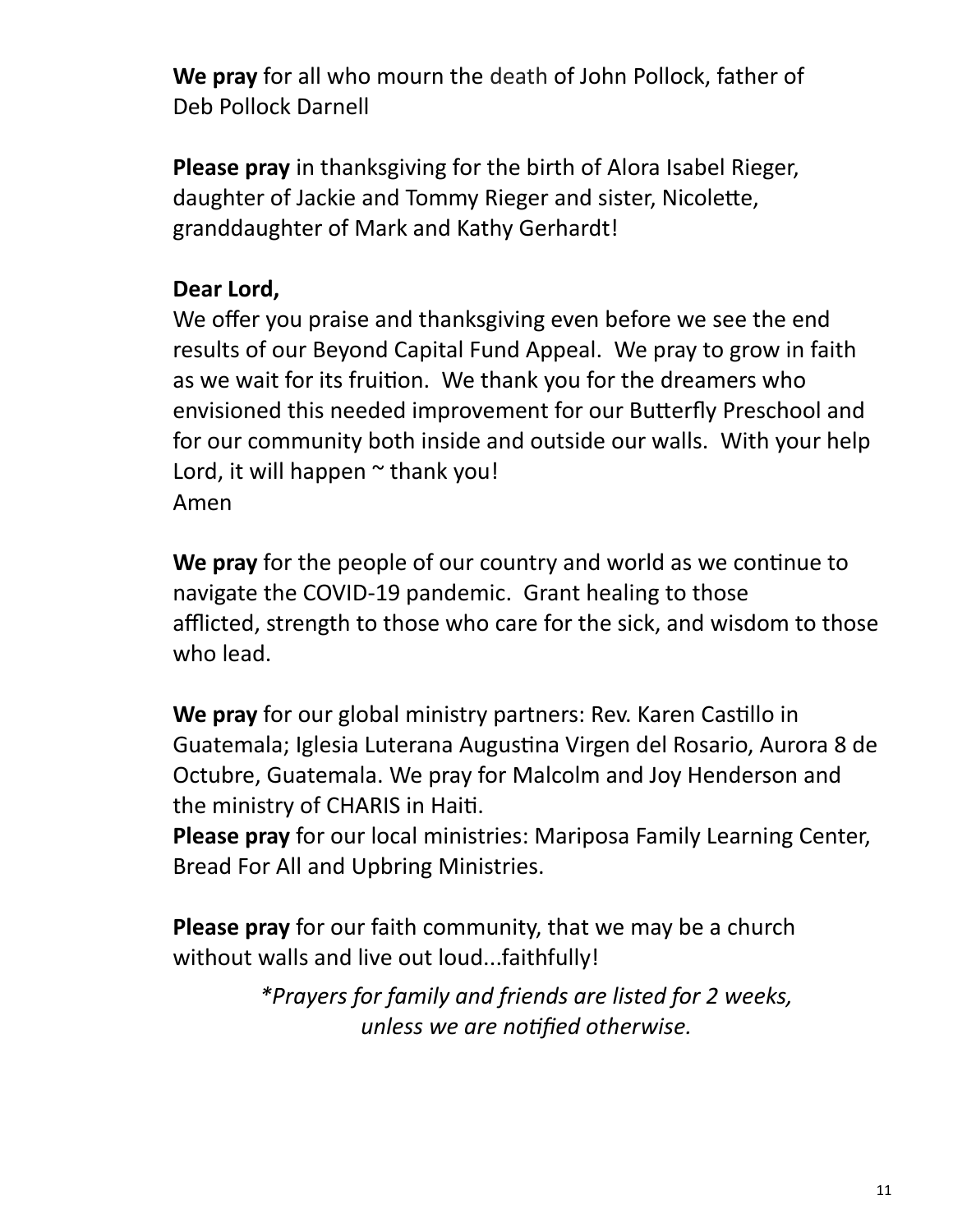**We pray** for all who mourn the death of John Pollock, father of Deb Pollock Darnell

**Please pray** in thanksgiving for the birth of Alora Isabel Rieger, daughter of Jackie and Tommy Rieger and sister, Nicolette, granddaughter of Mark and Kathy Gerhardt!

# **Dear Lord,**

We offer you praise and thanksgiving even before we see the end results of our Beyond Capital Fund Appeal. We pray to grow in faith as we wait for its fruition. We thank you for the dreamers who envisioned this needed improvement for our Butterfly Preschool and for our community both inside and outside our walls. With your help Lord, it will happen  $\sim$  thank you! Amen

**We pray** for the people of our country and world as we continue to navigate the COVID-19 pandemic. Grant healing to those afflicted, strength to those who care for the sick, and wisdom to those who lead.

**We pray** for our global ministry partners: Rev. Karen Castillo in Guatemala; Iglesia Luterana Augustina Virgen del Rosario, Aurora 8 de Octubre, Guatemala. We pray for Malcolm and Joy Henderson and the ministry of CHARIS in Haiti.

**Please pray** for our local ministries: Mariposa Family Learning Center, Bread For All and Upbring Ministries.

**Please pray** for our faith community, that we may be a church without walls and live out loud...faithfully!

> *\*Prayers for family and friends are listed for 2 weeks, unless we are notified otherwise.*